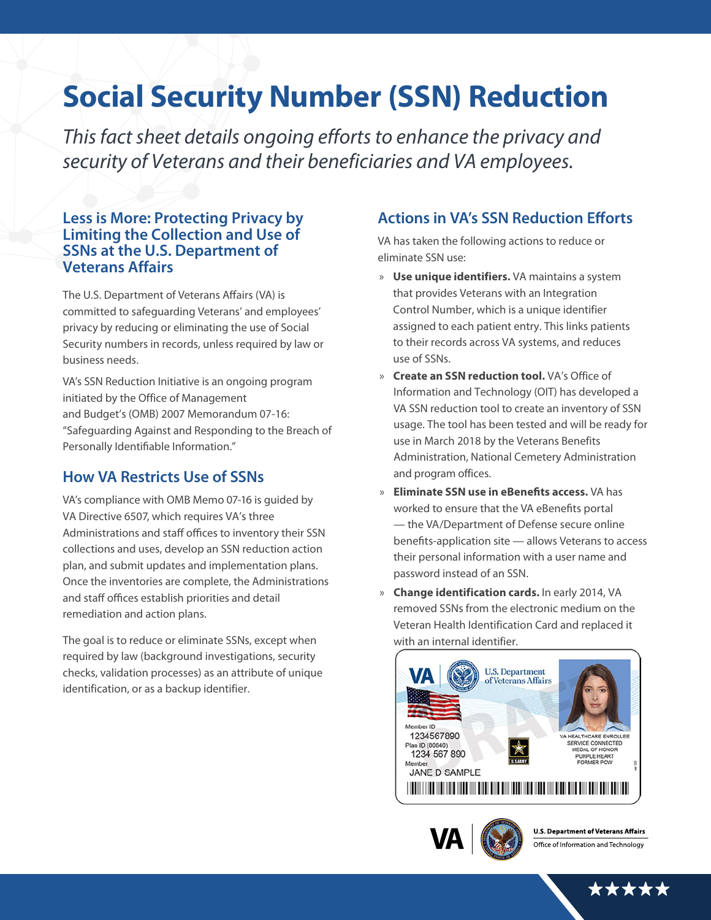# **Social Security Number (SSN) Reduction**

*This fact sheet details* ongoing efforts to enhance the privacy and security of Veterans and their beneficiaries and VA employees.

#### **Less is More: Protecting Privacy by Limiting the Collection and Use of SSNs at the U.S. Department of Veterans Affairs**

The U.S. Department of Veterans Affairs (VA) is committed to safeguarding Veterans' and employees' privacy by reducing or eliminating the use of Social Security numbers in records, unless required by law or business needs.

VA's SSN Reduction Initiative is an ongoing program initiated by the Office of Management and Budget's (OMB) 2007 Memorandum 07-16: "Safeguarding Against and Responding to the Breach of Personally Identifiable Information."

# **How VA Restricts Use of SSNs**

VA's compliance with OMB Memo 07-16 is guided by VA Directive 6507, which requires VA's three Administrations and staff offices to inventory their SSN collections and uses, develop an SSN reduction action plan, and submit updates and implementation plans. Once the inventories are complete, the Administrations and staff offices establish priorities and detail remediation and action plans.

The goal is to reduce or eliminate SSNs, except when required by law (background investigations, security checks, validation processes) as an attribute of unique identification, or as a backup identifier.

# **Actions in VA's SSN Reduction Efforts**

VA has taken the following actions to reduce or eliminate SSN use:

- » **Use unique identifiers.** VA maintains a system that provides Veterans with an Integration Control Number, which is a unique identifier assigned to each patient entry. This links patients to their records across VA systems, and reduces use of SSNs.
- » **Create an SSN reduction tool.** VA's Office of Information and Technology (OIT) has developed a VA SSN reduction tool to create an inventory of SSN usage. The tool has been tested and will be ready for use in March 2018 by the Veterans Benefits Administration, National Cemetery Administration and program offices.
- » **Eliminate SSN use in eBenefits access.** VA has worked to ensure that the VA eBenefits portal — the VA/Department of Defense secure online benefits-application site — allows Veterans to access their personal information with a user name and password instead of an SSN.
- » **Change identification cards.** In early 2014, VA removed SSNs from the electronic medium on the Veteran Health Identification Card and replaced it with an internal identifier.





\*\*\*